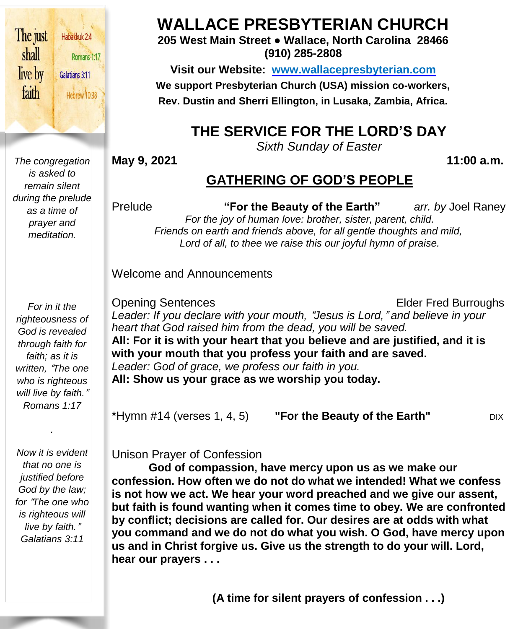

Romans 1:17 Hebrew 10:38

*The congregation is asked to remain silent during the prelude as a time of prayer and meditation.*

*For in it the righteousness of God is revealed through faith for faith; as it is written,* "*The one who is righteous will live by faith.*" *Romans 1:17*

*Now it is evident that no one is justified before God by the law; for* "*The one who is righteous will live by faith.*" *Galatians 3:11*

*.*

**WALLACE PRESBYTERIAN CHURCH**

**205 West Main Street ● Wallace, North Carolina 28466 (910) 285-2808**

**Visit our Website: [www.wallacepresbyterian.com](http://www.wallacepresbyterian.com/) We support Presbyterian Church (USA) mission co-workers, Rev. Dustin and Sherri Ellington, in Lusaka, Zambia, Africa.**

# **THE SERVICE FOR THE LORD'S DAY**

*Sixth Sunday of Easter*

**May 9, 2021 11:00 a.m.**

# **GATHERING OF GOD'S PEOPLE**

Prelude **"For the Beauty of the Earth"** *arr. by* Joel Raney *For the joy of human love: brother, sister, parent, child. Friends on earth and friends above, for all gentle thoughts and mild, Lord of all, to thee we raise this our joyful hymn of praise.*

Welcome and Announcements

Opening Sentences **Elder Fred Burroughs** *Leader: If you declare with your mouth,* "*Jesus is Lord,*" *and believe in your heart that God raised him from the dead, you will be saved.* **All: For it is with your heart that you believe and are justified, and it is with your mouth that you profess your faith and are saved.** *Leader: God of grace, we profess our faith in you.* **All: Show us your grace as we worship you today.**

\*Hymn #14 (verses 1, 4, 5) **"For the Beauty of the Earth"** DIX

Unison Prayer of Confession

**God of compassion, have mercy upon us as we make our confession. How often we do not do what we intended! What we confess is not how we act. We hear your word preached and we give our assent, but faith is found wanting when it comes time to obey. We are confronted by conflict; decisions are called for. Our desires are at odds with what you command and we do not do what you wish. O God, have mercy upon us and in Christ forgive us. Give us the strength to do your will. Lord, hear our prayers . . .**

 **(A time for silent prayers of confession . . .)**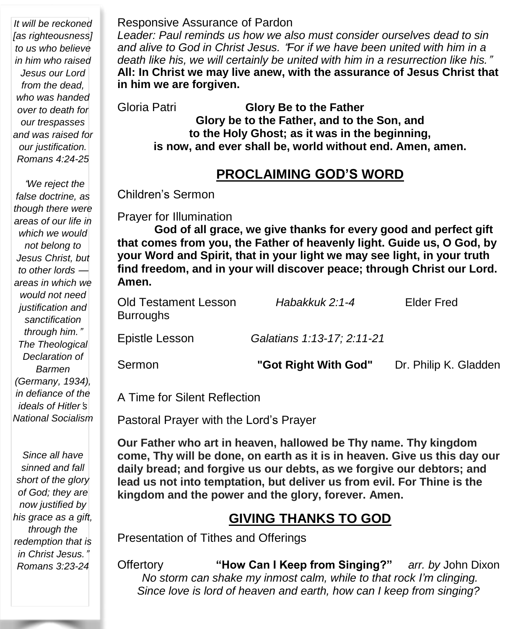*It will be reckoned [as righteousness] to us who believe in him who raised Jesus our Lord from the dead, who was handed over to death for our trespasses and was raised for our justification. Romans 4:24-25*

"*We reject the false doctrine, as though there were areas of our life in which we would not belong to Jesus Christ, but to other lords areas in which we would not need justification and sanctification through him.*" *The Theological Declaration of Barmen (Germany, 1934), in defiance of the ideals of Hitler*'*s National Socialism*

*Since all have sinned and fall short of the glory of God; they are now justified by his grace as a gift, through the redemption that is in Christ Jesus.*" *Romans 3:23-24*

#### Responsive Assurance of Pardon

*Leader: Paul reminds us how we also must consider ourselves dead to sin and alive to God in Christ Jesus.* "*For if we have been united with him in a death like his, we will certainly be united with him in a resurrection like his.*" **All: In Christ we may live anew, with the assurance of Jesus Christ that in him we are forgiven.**

Gloria Patri **Glory Be to the Father Glory be to the Father, and to the Son, and to the Holy Ghost; as it was in the beginning, is now, and ever shall be, world without end. Amen, amen.**

### **PROCLAIMING GOD'S WORD**

Children's Sermon

Prayer for Illumination

**God of all grace, we give thanks for every good and perfect gift that comes from you, the Father of heavenly light. Guide us, O God, by your Word and Spirit, that in your light we may see light, in your truth find freedom, and in your will discover peace; through Christ our Lord. Amen.**

| <b>Old Testament Lesson</b><br><b>Burroughs</b> | Habakkuk 2:1-4             | Elder Fred            |
|-------------------------------------------------|----------------------------|-----------------------|
| Epistle Lesson                                  | Galatians 1:13-17; 2:11-21 |                       |
| Sermon                                          | "Got Right With God"       | Dr. Philip K. Gladden |

A Time for Silent Reflection

Pastoral Prayer with the Lord's Prayer

**Our Father who art in heaven, hallowed be Thy name. Thy kingdom come, Thy will be done, on earth as it is in heaven. Give us this day our daily bread; and forgive us our debts, as we forgive our debtors; and lead us not into temptation, but deliver us from evil. For Thine is the kingdom and the power and the glory, forever. Amen.**

### **GIVING THANKS TO GOD**

Presentation of Tithes and Offerings

Offertory **"How Can I Keep from Singing?"** *arr. by* John Dixon *No storm can shake my inmost calm, while to that rock I'm clinging. Since love is lord of heaven and earth, how can I keep from singing?*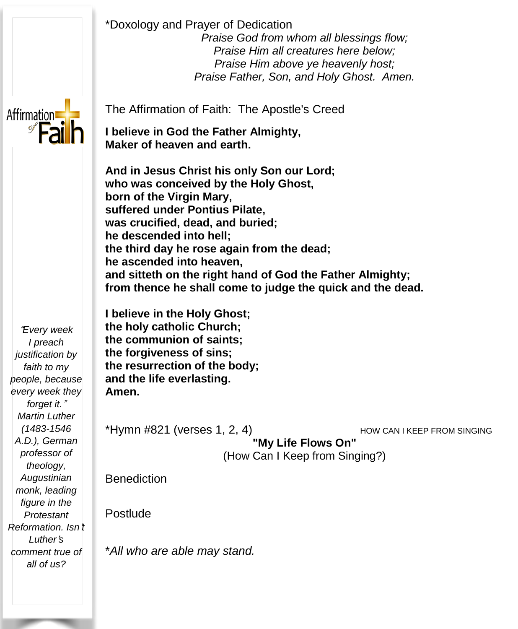\*Doxology and Prayer of Dedication *Praise God from whom all blessings flow; Praise Him all creatures here below; Praise Him above ye heavenly host; Praise Father, Son, and Holy Ghost. Amen.*



The Affirmation of Faith: The Apostle's Creed

**I believe in God the Father Almighty, Maker of heaven and earth.**

 **And in Jesus Christ his only Son our Lord; who was conceived by the Holy Ghost, the third day he rose again from the dead; he ascended into heaven, born of the Virgin Mary, suffered under Pontius Pilate, was crucified, dead, and buried; he descended into hell; and sitteth on the right hand of God the Father Almighty; from thence he shall come to judge the quick and the dead.**

**I believe in the Holy Ghost; the holy catholic Church; the communion of saints; the forgiveness of sins; the resurrection of the body; and the life everlasting. Amen.**

\*Hymn #821 (verses 1, 2, 4) How CAN I KEEP FROM SINGING **"My Life Flows On"** (How Can I Keep from Singing?)

**Benediction** 

Postlude

\**All who are able may stand.*

"*Every week I preach justification by faith to my people, because every week they forget it.*" *Martin Luther (1483-1546 A.D.), German professor of theology, Augustinian monk, leading figure in the Protestant Reformation. Isn*'*t Luther*'*s comment true of all of us?*